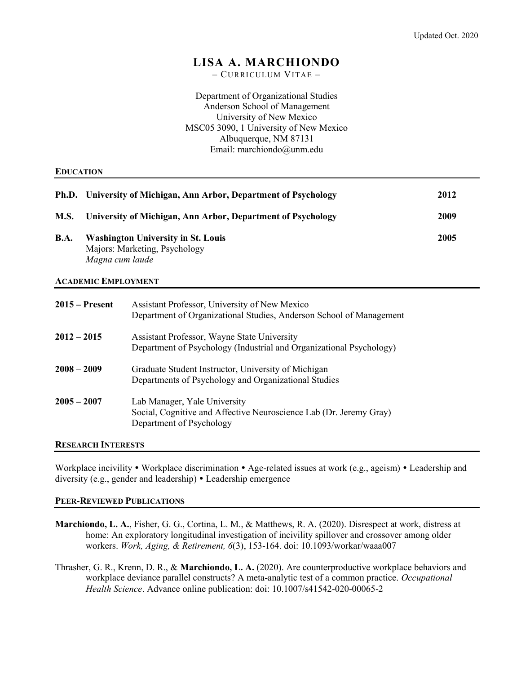# LISA A. MARCHIONDO

– CURRICULUM VITAE –

Department of Organizational Studies Anderson School of Management University of New Mexico MSC05 3090, 1 University of New Mexico Albuquerque, NM 87131 Email: marchiondo@unm.edu

#### **EDUCATION**

|             | Ph.D. University of Michigan, Ann Arbor, Department of Psychology                             | 2012 |
|-------------|-----------------------------------------------------------------------------------------------|------|
| <b>M.S.</b> | University of Michigan, Ann Arbor, Department of Psychology                                   | 2009 |
| <b>B.A.</b> | <b>Washington University in St. Louis</b><br>Majors: Marketing, Psychology<br>Magna cum laude | 2005 |

#### ACADEMIC EMPLOYMENT

| $2015 -$ Present | Assistant Professor, University of New Mexico<br>Department of Organizational Studies, Anderson School of Management           |
|------------------|--------------------------------------------------------------------------------------------------------------------------------|
| $2012 - 2015$    | Assistant Professor, Wayne State University<br>Department of Psychology (Industrial and Organizational Psychology)             |
| $2008 - 2009$    | Graduate Student Instructor, University of Michigan<br>Departments of Psychology and Organizational Studies                    |
| $2005 - 2007$    | Lab Manager, Yale University<br>Social, Cognitive and Affective Neuroscience Lab (Dr. Jeremy Gray)<br>Department of Psychology |

#### RESEARCH INTERESTS

Workplace incivility • Workplace discrimination • Age-related issues at work (e.g., ageism) • Leadership and diversity (e.g., gender and leadership) Leadership emergence

## PEER-REVIEWED PUBLICATIONS

Marchiondo, L. A., Fisher, G. G., Cortina, L. M., & Matthews, R. A. (2020). Disrespect at work, distress at home: An exploratory longitudinal investigation of incivility spillover and crossover among older workers. Work, Aging, & Retirement, 6(3), 153-164. doi: 10.1093/workar/waaa007

Thrasher, G. R., Krenn, D. R., & Marchiondo, L. A. (2020). Are counterproductive workplace behaviors and workplace deviance parallel constructs? A meta-analytic test of a common practice. Occupational Health Science. Advance online publication: doi: 10.1007/s41542-020-00065-2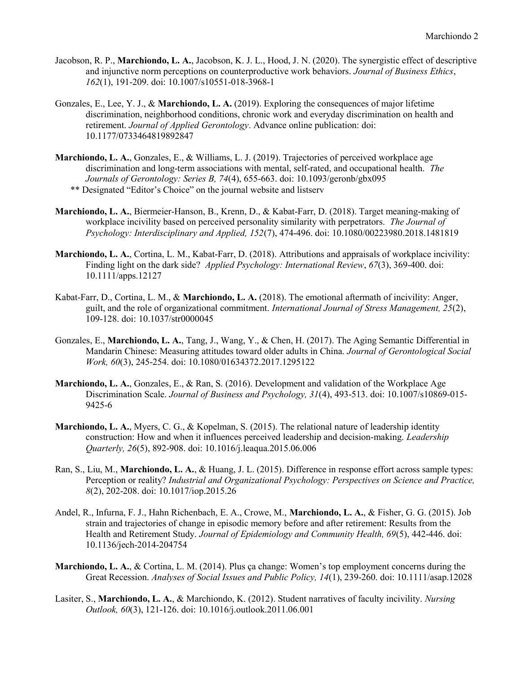- Jacobson, R. P., Marchiondo, L. A., Jacobson, K. J. L., Hood, J. N. (2020). The synergistic effect of descriptive and injunctive norm perceptions on counterproductive work behaviors. Journal of Business Ethics, 162(1), 191-209. doi: 10.1007/s10551-018-3968-1
- Gonzales, E., Lee, Y. J., & Marchiondo, L. A. (2019). Exploring the consequences of major lifetime discrimination, neighborhood conditions, chronic work and everyday discrimination on health and retirement. Journal of Applied Gerontology. Advance online publication: doi: 10.1177/0733464819892847
- Marchiondo, L. A., Gonzales, E., & Williams, L. J. (2019). Trajectories of perceived workplace age discrimination and long-term associations with mental, self-rated, and occupational health. The Journals of Gerontology: Series B, 74(4), 655-663. doi: 10.1093/geronb/gbx095 \*\* Designated "Editor's Choice" on the journal website and listserv
- Marchiondo, L. A., Biermeier-Hanson, B., Krenn, D., & Kabat-Farr, D. (2018). Target meaning-making of workplace incivility based on perceived personality similarity with perpetrators. The Journal of Psychology: Interdisciplinary and Applied, 152(7), 474-496. doi: 10.1080/00223980.2018.1481819
- Marchiondo, L. A., Cortina, L. M., Kabat-Farr, D. (2018). Attributions and appraisals of workplace incivility: Finding light on the dark side? *Applied Psychology: International Review, 67(3), 369-400.* doi: 10.1111/apps.12127
- Kabat-Farr, D., Cortina, L. M., & Marchiondo, L. A. (2018). The emotional aftermath of incivility: Anger, guilt, and the role of organizational commitment. International Journal of Stress Management,  $25(2)$ , 109-128. doi: 10.1037/str0000045
- Gonzales, E., Marchiondo, L. A., Tang, J., Wang, Y., & Chen, H. (2017). The Aging Semantic Differential in Mandarin Chinese: Measuring attitudes toward older adults in China. Journal of Gerontological Social Work, 60(3), 245-254. doi: 10.1080/01634372.2017.1295122
- Marchiondo, L. A., Gonzales, E., & Ran, S. (2016). Development and validation of the Workplace Age Discrimination Scale. Journal of Business and Psychology, 31(4), 493-513. doi: 10.1007/s10869-015- 9425-6
- Marchiondo, L. A., Myers, C. G., & Kopelman, S. (2015). The relational nature of leadership identity construction: How and when it influences perceived leadership and decision-making. *Leadership* Quarterly, 26(5), 892-908. doi: 10.1016/j.leaqua.2015.06.006
- Ran, S., Liu, M., Marchiondo, L. A., & Huang, J. L. (2015). Difference in response effort across sample types: Perception or reality? Industrial and Organizational Psychology: Perspectives on Science and Practice, 8(2), 202-208. doi: 10.1017/iop.2015.26
- Andel, R., Infurna, F. J., Hahn Richenbach, E. A., Crowe, M., Marchiondo, L. A., & Fisher, G. G. (2015). Job strain and trajectories of change in episodic memory before and after retirement: Results from the Health and Retirement Study. Journal of Epidemiology and Community Health, 69(5), 442-446. doi: 10.1136/jech-2014-204754
- Marchiondo, L. A., & Cortina, L. M. (2014). Plus ça change: Women's top employment concerns during the Great Recession. Analyses of Social Issues and Public Policy, 14(1), 239-260. doi: 10.1111/asap.12028
- Lasiter, S., Marchiondo, L. A., & Marchiondo, K. (2012). Student narratives of faculty incivility. Nursing Outlook, 60(3), 121-126. doi: 10.1016/j.outlook.2011.06.001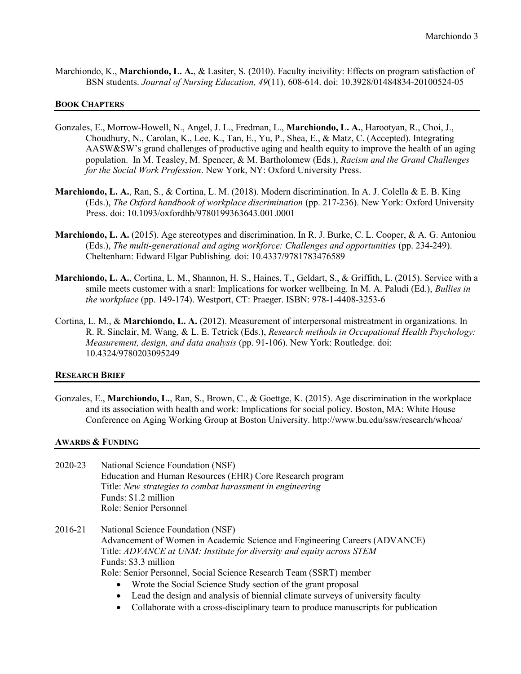Marchiondo, K., Marchiondo, L. A., & Lasiter, S. (2010). Faculty incivility: Effects on program satisfaction of BSN students. Journal of Nursing Education, 49(11), 608-614. doi: 10.3928/01484834-20100524-05

#### BOOK CHAPTERS

- Gonzales, E., Morrow-Howell, N., Angel, J. L., Fredman, L., Marchiondo, L. A., Harootyan, R., Choi, J., Choudhury, N., Carolan, K., Lee, K., Tan, E., Yu, P., Shea, E., & Matz, C. (Accepted). Integrating AASW&SW's grand challenges of productive aging and health equity to improve the health of an aging population. In M. Teasley, M. Spencer, & M. Bartholomew (Eds.), Racism and the Grand Challenges for the Social Work Profession. New York, NY: Oxford University Press.
- Marchiondo, L. A., Ran, S., & Cortina, L. M. (2018). Modern discrimination. In A. J. Colella & E. B. King (Eds.), The Oxford handbook of workplace discrimination (pp. 217-236). New York: Oxford University Press. doi: 10.1093/oxfordhb/9780199363643.001.0001
- Marchiondo, L. A. (2015). Age stereotypes and discrimination. In R. J. Burke, C. L. Cooper, & A. G. Antoniou (Eds.), The multi-generational and aging workforce: Challenges and opportunities (pp. 234-249). Cheltenham: Edward Elgar Publishing. doi: 10.4337/9781783476589
- Marchiondo, L. A., Cortina, L. M., Shannon, H. S., Haines, T., Geldart, S., & Griffith, L. (2015). Service with a smile meets customer with a snarl: Implications for worker wellbeing. In M. A. Paludi (Ed.), *Bullies in* the workplace (pp. 149-174). Westport, CT: Praeger. ISBN: 978-1-4408-3253-6
- Cortina, L. M., & Marchiondo, L. A. (2012). Measurement of interpersonal mistreatment in organizations. In R. R. Sinclair, M. Wang, & L. E. Tetrick (Eds.), Research methods in Occupational Health Psychology: Measurement, design, and data analysis (pp. 91-106). New York: Routledge. doi: 10.4324/9780203095249

#### RESEARCH BRIEF

Gonzales, E., Marchiondo, L., Ran, S., Brown, C., & Goettge, K. (2015). Age discrimination in the workplace and its association with health and work: Implications for social policy. Boston, MA: White House Conference on Aging Working Group at Boston University. http://www.bu.edu/ssw/research/whcoa/

#### AWARDS & FUNDING

- 2020-23 National Science Foundation (NSF) Education and Human Resources (EHR) Core Research program Title: New strategies to combat harassment in engineering Funds: \$1.2 million Role: Senior Personnel
- 2016-21 National Science Foundation (NSF) Advancement of Women in Academic Science and Engineering Careers (ADVANCE) Title: ADVANCE at UNM: Institute for diversity and equity across STEM Funds: \$3.3 million Role: Senior Personnel, Social Science Research Team (SSRT) member • Wrote the Social Science Study section of the grant proposal
	- Lead the design and analysis of biennial climate surveys of university faculty
	- Collaborate with a cross-disciplinary team to produce manuscripts for publication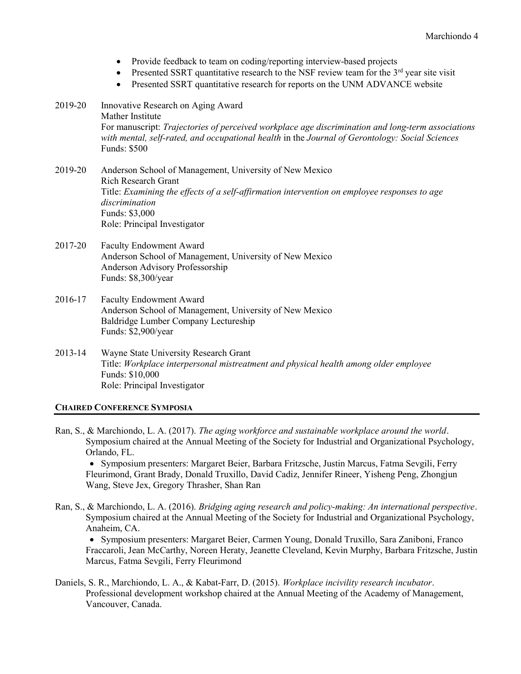- Provide feedback to team on coding/reporting interview-based projects
- Presented SSRT quantitative research to the NSF review team for the  $3<sup>rd</sup>$  year site visit
- Presented SSRT quantitative research for reports on the UNM ADVANCE website
- 2019-20 Innovative Research on Aging Award Mather Institute For manuscript: Trajectories of perceived workplace age discrimination and long-term associations with mental, self-rated, and occupational health in the Journal of Gerontology: Social Sciences Funds: \$500
- 2019-20 Anderson School of Management, University of New Mexico Rich Research Grant Title: Examining the effects of a self-affirmation intervention on employee responses to age discrimination Funds: \$3,000 Role: Principal Investigator
- 2017-20 Faculty Endowment Award Anderson School of Management, University of New Mexico Anderson Advisory Professorship Funds: \$8,300/year
- 2016-17 Faculty Endowment Award Anderson School of Management, University of New Mexico Baldridge Lumber Company Lectureship Funds: \$2,900/year
- 2013-14 Wayne State University Research Grant Title: Workplace interpersonal mistreatment and physical health among older employee Funds: \$10,000 Role: Principal Investigator

## CHAIRED CONFERENCE SYMPOSIA

Ran, S., & Marchiondo, L. A. (2017). The aging workforce and sustainable workplace around the world. Symposium chaired at the Annual Meeting of the Society for Industrial and Organizational Psychology, Orlando, FL.

 Symposium presenters: Margaret Beier, Barbara Fritzsche, Justin Marcus, Fatma Sevgili, Ferry Fleurimond, Grant Brady, Donald Truxillo, David Cadiz, Jennifer Rineer, Yisheng Peng, Zhongjun Wang, Steve Jex, Gregory Thrasher, Shan Ran

Ran, S., & Marchiondo, L. A. (2016). Bridging aging research and policy-making: An international perspective. Symposium chaired at the Annual Meeting of the Society for Industrial and Organizational Psychology, Anaheim, CA.

 Symposium presenters: Margaret Beier, Carmen Young, Donald Truxillo, Sara Zaniboni, Franco Fraccaroli, Jean McCarthy, Noreen Heraty, Jeanette Cleveland, Kevin Murphy, Barbara Fritzsche, Justin Marcus, Fatma Sevgili, Ferry Fleurimond

Daniels, S. R., Marchiondo, L. A., & Kabat-Farr, D. (2015). Workplace incivility research incubator. Professional development workshop chaired at the Annual Meeting of the Academy of Management, Vancouver, Canada.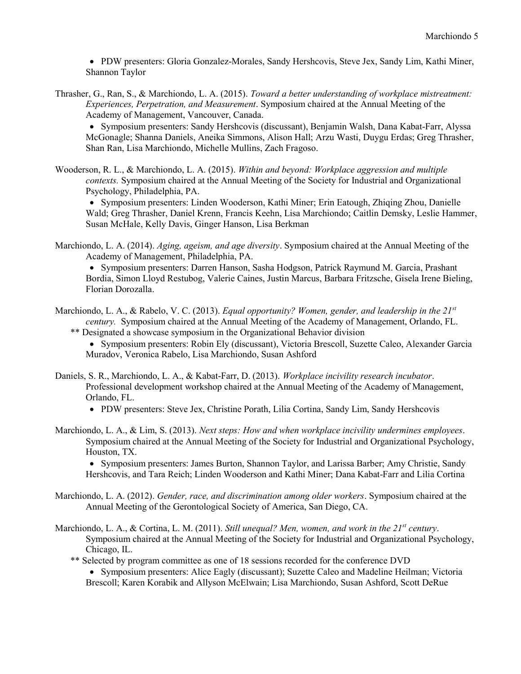PDW presenters: Gloria Gonzalez-Morales, Sandy Hershcovis, Steve Jex, Sandy Lim, Kathi Miner, Shannon Taylor

Thrasher, G., Ran, S., & Marchiondo, L. A. (2015). Toward a better understanding of workplace mistreatment: Experiences, Perpetration, and Measurement. Symposium chaired at the Annual Meeting of the Academy of Management, Vancouver, Canada.

 Symposium presenters: Sandy Hershcovis (discussant), Benjamin Walsh, Dana Kabat-Farr, Alyssa McGonagle; Shanna Daniels, Aneika Simmons, Alison Hall; Arzu Wasti, Duygu Erdas; Greg Thrasher, Shan Ran, Lisa Marchiondo, Michelle Mullins, Zach Fragoso.

Wooderson, R. L., & Marchiondo, L. A. (2015). Within and beyond: Workplace aggression and multiple contexts. Symposium chaired at the Annual Meeting of the Society for Industrial and Organizational Psychology, Philadelphia, PA.

 Symposium presenters: Linden Wooderson, Kathi Miner; Erin Eatough, Zhiqing Zhou, Danielle Wald; Greg Thrasher, Daniel Krenn, Francis Keehn, Lisa Marchiondo; Caitlin Demsky, Leslie Hammer, Susan McHale, Kelly Davis, Ginger Hanson, Lisa Berkman

Marchiondo, L. A. (2014). Aging, ageism, and age diversity. Symposium chaired at the Annual Meeting of the Academy of Management, Philadelphia, PA.

 Symposium presenters: Darren Hanson, Sasha Hodgson, Patrick Raymund M. Garcia, Prashant Bordia, Simon Lloyd Restubog, Valerie Caines, Justin Marcus, Barbara Fritzsche, Gisela Irene Bieling, Florian Dorozalla.

Marchiondo, L. A., & Rabelo, V. C. (2013). Equal opportunity? Women, gender, and leadership in the  $21^{st}$ century. Symposium chaired at the Annual Meeting of the Academy of Management, Orlando, FL.

\*\* Designated a showcase symposium in the Organizational Behavior division Symposium presenters: Robin Ely (discussant), Victoria Brescoll, Suzette Caleo, Alexander Garcia

Muradov, Veronica Rabelo, Lisa Marchiondo, Susan Ashford

- Daniels, S. R., Marchiondo, L. A., & Kabat-Farr, D. (2013). Workplace incivility research incubator. Professional development workshop chaired at the Annual Meeting of the Academy of Management, Orlando, FL.
	- PDW presenters: Steve Jex, Christine Porath, Lilia Cortina, Sandy Lim, Sandy Hershcovis
- Marchiondo, L. A., & Lim, S. (2013). Next steps: How and when workplace incivility undermines employees. Symposium chaired at the Annual Meeting of the Society for Industrial and Organizational Psychology, Houston, TX.

 Symposium presenters: James Burton, Shannon Taylor, and Larissa Barber; Amy Christie, Sandy Hershcovis, and Tara Reich; Linden Wooderson and Kathi Miner; Dana Kabat-Farr and Lilia Cortina

- Marchiondo, L. A. (2012). Gender, race, and discrimination among older workers. Symposium chaired at the Annual Meeting of the Gerontological Society of America, San Diego, CA.
- Marchiondo, L. A., & Cortina, L. M. (2011). Still unequal? Men, women, and work in the  $21^{st}$  century. Symposium chaired at the Annual Meeting of the Society for Industrial and Organizational Psychology, Chicago, IL.
	- \*\* Selected by program committee as one of 18 sessions recorded for the conference DVD
		- Symposium presenters: Alice Eagly (discussant); Suzette Caleo and Madeline Heilman; Victoria Brescoll; Karen Korabik and Allyson McElwain; Lisa Marchiondo, Susan Ashford, Scott DeRue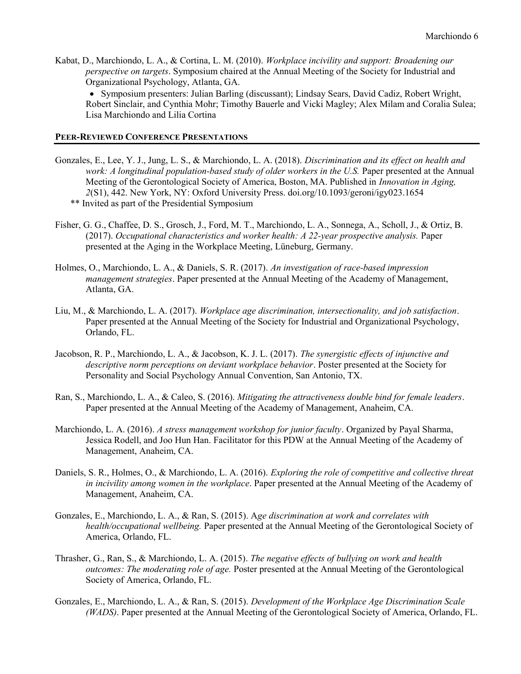Kabat, D., Marchiondo, L. A., & Cortina, L. M. (2010). *Workplace incivility and support: Broadening our* perspective on targets. Symposium chaired at the Annual Meeting of the Society for Industrial and Organizational Psychology, Atlanta, GA.

 Symposium presenters: Julian Barling (discussant); Lindsay Sears, David Cadiz, Robert Wright, Robert Sinclair, and Cynthia Mohr; Timothy Bauerle and Vicki Magley; Alex Milam and Coralia Sulea; Lisa Marchiondo and Lilia Cortina

#### PEER-REVIEWED CONFERENCE PRESENTATIONS

- Gonzales, E., Lee, Y. J., Jung, L. S., & Marchiondo, L. A. (2018). Discrimination and its effect on health and work: A longitudinal population-based study of older workers in the U.S. Paper presented at the Annual Meeting of the Gerontological Society of America, Boston, MA. Published in Innovation in Aging, 2(S1), 442. New York, NY: Oxford University Press. doi.org/10.1093/geroni/igy023.1654 \*\* Invited as part of the Presidential Symposium
- Fisher, G. G., Chaffee, D. S., Grosch, J., Ford, M. T., Marchiondo, L. A., Sonnega, A., Scholl, J., & Ortiz, B. (2017). Occupational characteristics and worker health: A 22-year prospective analysis. Paper presented at the Aging in the Workplace Meeting, Lüneburg, Germany.
- Holmes, O., Marchiondo, L. A., & Daniels, S. R. (2017). An investigation of race-based impression management strategies. Paper presented at the Annual Meeting of the Academy of Management, Atlanta, GA.
- Liu, M., & Marchiondo, L. A. (2017). Workplace age discrimination, intersectionality, and job satisfaction. Paper presented at the Annual Meeting of the Society for Industrial and Organizational Psychology, Orlando, FL.
- Jacobson, R. P., Marchiondo, L. A., & Jacobson, K. J. L. (2017). The synergistic effects of injunctive and descriptive norm perceptions on deviant workplace behavior. Poster presented at the Society for Personality and Social Psychology Annual Convention, San Antonio, TX.
- Ran, S., Marchiondo, L. A., & Caleo, S. (2016). Mitigating the attractiveness double bind for female leaders. Paper presented at the Annual Meeting of the Academy of Management, Anaheim, CA.
- Marchiondo, L. A. (2016). A stress management workshop for junior faculty. Organized by Payal Sharma, Jessica Rodell, and Joo Hun Han. Facilitator for this PDW at the Annual Meeting of the Academy of Management, Anaheim, CA.
- Daniels, S. R., Holmes, O., & Marchiondo, L. A. (2016). Exploring the role of competitive and collective threat in incivility among women in the workplace. Paper presented at the Annual Meeting of the Academy of Management, Anaheim, CA.
- Gonzales, E., Marchiondo, L. A., & Ran, S. (2015). Age discrimination at work and correlates with health/occupational wellbeing. Paper presented at the Annual Meeting of the Gerontological Society of America, Orlando, FL.
- Thrasher, G., Ran, S., & Marchiondo, L. A. (2015). The negative effects of bullying on work and health outcomes: The moderating role of age. Poster presented at the Annual Meeting of the Gerontological Society of America, Orlando, FL.
- Gonzales, E., Marchiondo, L. A., & Ran, S. (2015). Development of the Workplace Age Discrimination Scale (WADS). Paper presented at the Annual Meeting of the Gerontological Society of America, Orlando, FL.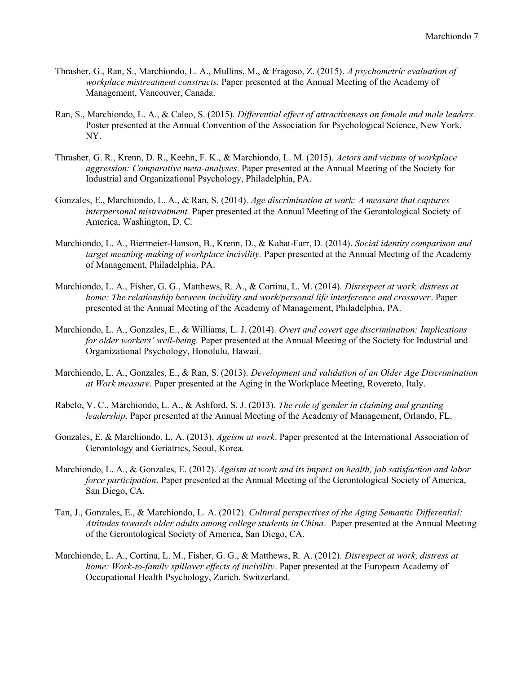- Thrasher, G., Ran, S., Marchiondo, L. A., Mullins, M., & Fragoso, Z. (2015). A psychometric evaluation of workplace mistreatment constructs. Paper presented at the Annual Meeting of the Academy of Management, Vancouver, Canada.
- Ran, S., Marchiondo, L. A., & Caleo, S. (2015). Differential effect of attractiveness on female and male leaders. Poster presented at the Annual Convention of the Association for Psychological Science, New York, NY.
- Thrasher, G. R., Krenn, D. R., Keehn, F. K., & Marchiondo, L. M. (2015). Actors and victims of workplace aggression: Comparative meta-analyses. Paper presented at the Annual Meeting of the Society for Industrial and Organizational Psychology, Philadelphia, PA.
- Gonzales, E., Marchiondo, L. A., & Ran, S. (2014). Age discrimination at work: A measure that captures interpersonal mistreatment. Paper presented at the Annual Meeting of the Gerontological Society of America, Washington, D. C.
- Marchiondo, L. A., Biermeier-Hanson, B., Krenn, D., & Kabat-Farr, D. (2014). Social identity comparison and target meaning-making of workplace incivility. Paper presented at the Annual Meeting of the Academy of Management, Philadelphia, PA.
- Marchiondo, L. A., Fisher, G. G., Matthews, R. A., & Cortina, L. M. (2014). Disrespect at work, distress at home: The relationship between incivility and work/personal life interference and crossover. Paper presented at the Annual Meeting of the Academy of Management, Philadelphia, PA.
- Marchiondo, L. A., Gonzales, E., & Williams, L. J. (2014). Overt and covert age discrimination: Implications for older workers' well-being. Paper presented at the Annual Meeting of the Society for Industrial and Organizational Psychology, Honolulu, Hawaii.
- Marchiondo, L. A., Gonzales, E., & Ran, S. (2013). Development and validation of an Older Age Discrimination at Work measure. Paper presented at the Aging in the Workplace Meeting, Rovereto, Italy.
- Rabelo, V. C., Marchiondo, L. A., & Ashford, S. J. (2013). The role of gender in claiming and granting leadership. Paper presented at the Annual Meeting of the Academy of Management, Orlando, FL.
- Gonzales, E. & Marchiondo, L. A. (2013). Ageism at work. Paper presented at the International Association of Gerontology and Geriatrics, Seoul, Korea.
- Marchiondo, L. A., & Gonzales, E. (2012). Ageism at work and its impact on health, job satisfaction and labor force participation. Paper presented at the Annual Meeting of the Gerontological Society of America, San Diego, CA.
- Tan, J., Gonzales, E., & Marchiondo, L. A. (2012). Cultural perspectives of the Aging Semantic Differential: Attitudes towards older adults among college students in China. Paper presented at the Annual Meeting of the Gerontological Society of America, San Diego, CA.
- Marchiondo, L. A., Cortina, L. M., Fisher, G. G., & Matthews, R. A. (2012). Disrespect at work, distress at home: Work-to-family spillover effects of incivility. Paper presented at the European Academy of Occupational Health Psychology, Zurich, Switzerland.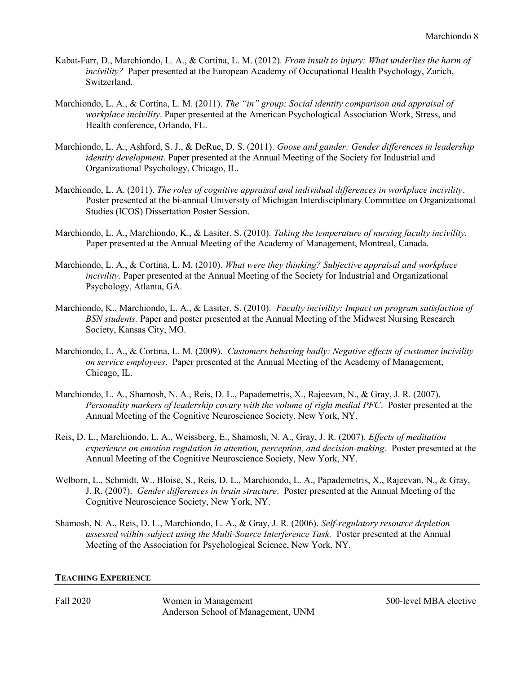- Kabat-Farr, D., Marchiondo, L. A., & Cortina, L. M. (2012). From insult to injury: What underlies the harm of incivility? Paper presented at the European Academy of Occupational Health Psychology, Zurich, Switzerland.
- Marchiondo, L. A., & Cortina, L. M. (2011). The "in" group: Social identity comparison and appraisal of workplace incivility. Paper presented at the American Psychological Association Work, Stress, and Health conference, Orlando, FL.
- Marchiondo, L. A., Ashford, S. J., & DeRue, D. S. (2011). Goose and gander: Gender differences in leadership identity development. Paper presented at the Annual Meeting of the Society for Industrial and Organizational Psychology, Chicago, IL.
- Marchiondo, L. A. (2011). The roles of cognitive appraisal and individual differences in workplace incivility. Poster presented at the bi-annual University of Michigan Interdisciplinary Committee on Organizational Studies (ICOS) Dissertation Poster Session.
- Marchiondo, L. A., Marchiondo, K., & Lasiter, S. (2010). Taking the temperature of nursing faculty incivility. Paper presented at the Annual Meeting of the Academy of Management, Montreal, Canada.
- Marchiondo, L. A., & Cortina, L. M. (2010). What were they thinking? Subjective appraisal and workplace incivility. Paper presented at the Annual Meeting of the Society for Industrial and Organizational Psychology, Atlanta, GA.
- Marchiondo, K., Marchiondo, L. A., & Lasiter, S. (2010). Faculty incivility: Impact on program satisfaction of BSN students. Paper and poster presented at the Annual Meeting of the Midwest Nursing Research Society, Kansas City, MO.
- Marchiondo, L. A., & Cortina, L. M. (2009). Customers behaving badly: Negative effects of customer incivility on service employees. Paper presented at the Annual Meeting of the Academy of Management, Chicago, IL.
- Marchiondo, L. A., Shamosh, N. A., Reis, D. L., Papademetris, X., Rajeevan, N., & Gray, J. R. (2007). Personality markers of leadership covary with the volume of right medial PFC. Poster presented at the Annual Meeting of the Cognitive Neuroscience Society, New York, NY.
- Reis, D. L., Marchiondo, L. A., Weissberg, E., Shamosh, N. A., Gray, J. R. (2007). Effects of meditation experience on emotion regulation in attention, perception, and decision-making. Poster presented at the Annual Meeting of the Cognitive Neuroscience Society, New York, NY.
- Welborn, L., Schmidt, W., Bloise, S., Reis, D. L., Marchiondo, L. A., Papademetris, X., Rajeevan, N., & Gray, J. R. (2007). Gender differences in brain structure. Poster presented at the Annual Meeting of the Cognitive Neuroscience Society, New York, NY.
- Shamosh, N. A., Reis, D. L., Marchiondo, L. A., & Gray, J. R. (2006). Self-regulatory resource depletion assessed within-subject using the Multi-Source Interference Task. Poster presented at the Annual Meeting of the Association for Psychological Science, New York, NY.

## TEACHING EXPERIENCE

Fall 2020 **Solution** Women in Management 500-level MBA elective Anderson School of Management, UNM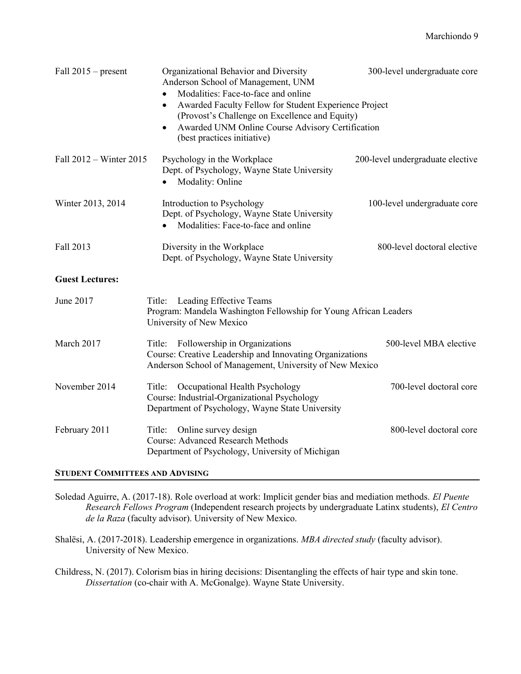| Fall $2015$ – present   | Organizational Behavior and Diversity<br>Anderson School of Management, UNM<br>Modalities: Face-to-face and online<br>$\bullet$<br>Awarded Faculty Fellow for Student Experience Project<br>$\bullet$<br>(Provost's Challenge on Excellence and Equity)<br>Awarded UNM Online Course Advisory Certification<br>$\bullet$<br>(best practices initiative) | 300-level undergraduate core     |
|-------------------------|---------------------------------------------------------------------------------------------------------------------------------------------------------------------------------------------------------------------------------------------------------------------------------------------------------------------------------------------------------|----------------------------------|
| Fall 2012 – Winter 2015 | Psychology in the Workplace<br>Dept. of Psychology, Wayne State University<br>Modality: Online                                                                                                                                                                                                                                                          | 200-level undergraduate elective |
| Winter 2013, 2014       | Introduction to Psychology<br>Dept. of Psychology, Wayne State University<br>Modalities: Face-to-face and online<br>$\bullet$                                                                                                                                                                                                                           | 100-level undergraduate core     |
| Fall 2013               | Diversity in the Workplace<br>Dept. of Psychology, Wayne State University                                                                                                                                                                                                                                                                               | 800-level doctoral elective      |
| <b>Guest Lectures:</b>  |                                                                                                                                                                                                                                                                                                                                                         |                                  |
| June 2017               | Leading Effective Teams<br>Title:<br>Program: Mandela Washington Fellowship for Young African Leaders<br>University of New Mexico                                                                                                                                                                                                                       |                                  |
| March 2017              | Title: Followership in Organizations<br>Course: Creative Leadership and Innovating Organizations<br>Anderson School of Management, University of New Mexico                                                                                                                                                                                             | 500-level MBA elective           |
| November 2014           | Occupational Health Psychology<br>Title:<br>Course: Industrial-Organizational Psychology<br>Department of Psychology, Wayne State University                                                                                                                                                                                                            | 700-level doctoral core          |
| February 2011           | Title: Online survey design<br><b>Course: Advanced Research Methods</b><br>Department of Psychology, University of Michigan                                                                                                                                                                                                                             | 800-level doctoral core          |

## STUDENT COMMITTEES AND ADVISING

Soledad Aguirre, A. (2017-18). Role overload at work: Implicit gender bias and mediation methods. El Puente Research Fellows Program (Independent research projects by undergraduate Latinx students), El Centro de la Raza (faculty advisor). University of New Mexico.

Shalёsi, A. (2017-2018). Leadership emergence in organizations. MBA directed study (faculty advisor). University of New Mexico.

Childress, N. (2017). Colorism bias in hiring decisions: Disentangling the effects of hair type and skin tone. Dissertation (co-chair with A. McGonalge). Wayne State University.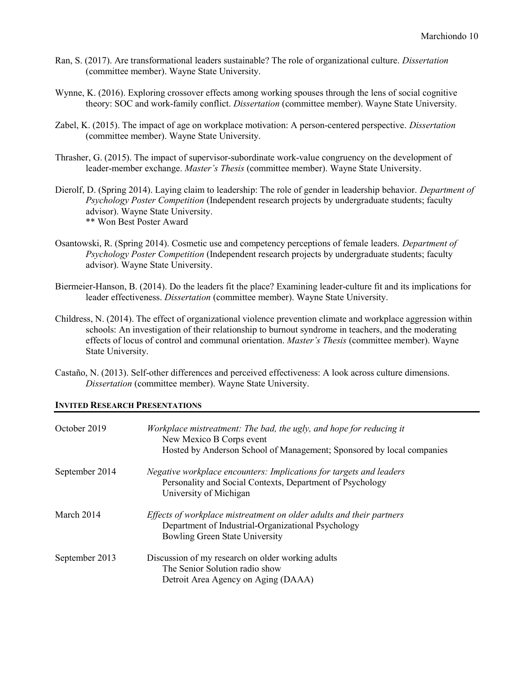- Ran, S. (2017). Are transformational leaders sustainable? The role of organizational culture. Dissertation (committee member). Wayne State University.
- Wynne, K. (2016). Exploring crossover effects among working spouses through the lens of social cognitive theory: SOC and work-family conflict. Dissertation (committee member). Wayne State University.
- Zabel, K. (2015). The impact of age on workplace motivation: A person-centered perspective. Dissertation (committee member). Wayne State University.
- Thrasher, G. (2015). The impact of supervisor-subordinate work-value congruency on the development of leader-member exchange. Master's Thesis (committee member). Wayne State University.
- Dierolf, D. (Spring 2014). Laying claim to leadership: The role of gender in leadership behavior. Department of Psychology Poster Competition (Independent research projects by undergraduate students; faculty advisor). Wayne State University. \*\* Won Best Poster Award
- Osantowski, R. (Spring 2014). Cosmetic use and competency perceptions of female leaders. Department of Psychology Poster Competition (Independent research projects by undergraduate students; faculty advisor). Wayne State University.
- Biermeier-Hanson, B. (2014). Do the leaders fit the place? Examining leader-culture fit and its implications for leader effectiveness. Dissertation (committee member). Wayne State University.
- Childress, N. (2014). The effect of organizational violence prevention climate and workplace aggression within schools: An investigation of their relationship to burnout syndrome in teachers, and the moderating effects of locus of control and communal orientation. Master's Thesis (committee member). Wayne State University.
- Castaño, N. (2013). Self-other differences and perceived effectiveness: A look across culture dimensions. Dissertation (committee member). Wayne State University.

## INVITED RESEARCH PRESENTATIONS

| October 2019   | Workplace mistreatment: The bad, the ugly, and hope for reducing it<br>New Mexico B Corps event<br>Hosted by Anderson School of Management; Sponsored by local companies |
|----------------|--------------------------------------------------------------------------------------------------------------------------------------------------------------------------|
| September 2014 | Negative workplace encounters: Implications for targets and leaders<br>Personality and Social Contexts, Department of Psychology<br>University of Michigan               |
| March 2014     | Effects of workplace mistreatment on older adults and their partners<br>Department of Industrial-Organizational Psychology<br><b>Bowling Green State University</b>      |
| September 2013 | Discussion of my research on older working adults<br>The Senior Solution radio show<br>Detroit Area Agency on Aging (DAAA)                                               |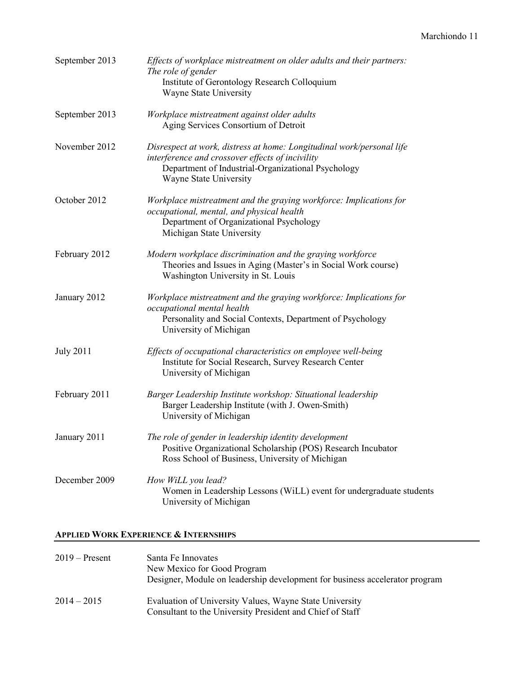| September 2013   | Effects of workplace mistreatment on older adults and their partners:<br>The role of gender<br>Institute of Gerontology Research Colloquium<br>Wayne State University                                     |
|------------------|-----------------------------------------------------------------------------------------------------------------------------------------------------------------------------------------------------------|
| September 2013   | Workplace mistreatment against older adults<br>Aging Services Consortium of Detroit                                                                                                                       |
| November 2012    | Disrespect at work, distress at home: Longitudinal work/personal life<br>interference and crossover effects of incivility<br>Department of Industrial-Organizational Psychology<br>Wayne State University |
| October 2012     | Workplace mistreatment and the graying workforce: Implications for<br>occupational, mental, and physical health<br>Department of Organizational Psychology<br>Michigan State University                   |
| February 2012    | Modern workplace discrimination and the graying workforce<br>Theories and Issues in Aging (Master's in Social Work course)<br>Washington University in St. Louis                                          |
| January 2012     | Workplace mistreatment and the graying workforce: Implications for<br>occupational mental health<br>Personality and Social Contexts, Department of Psychology<br>University of Michigan                   |
| <b>July 2011</b> | Effects of occupational characteristics on employee well-being<br>Institute for Social Research, Survey Research Center<br>University of Michigan                                                         |
| February 2011    | Barger Leadership Institute workshop: Situational leadership<br>Barger Leadership Institute (with J. Owen-Smith)<br>University of Michigan                                                                |
| January 2011     | The role of gender in leadership identity development<br>Positive Organizational Scholarship (POS) Research Incubator<br>Ross School of Business, University of Michigan                                  |
| December 2009    | How WiLL you lead?<br>Women in Leadership Lessons (WiLL) event for undergraduate students<br>University of Michigan                                                                                       |

# APPLIED WORK EXPERIENCE & INTERNSHIPS

| $2019 -$ Present | Santa Fe Innovates<br>New Mexico for Good Program<br>Designer, Module on leadership development for business accelerator program |
|------------------|----------------------------------------------------------------------------------------------------------------------------------|
| $2014 - 2015$    | Evaluation of University Values, Wayne State University<br>Consultant to the University President and Chief of Staff             |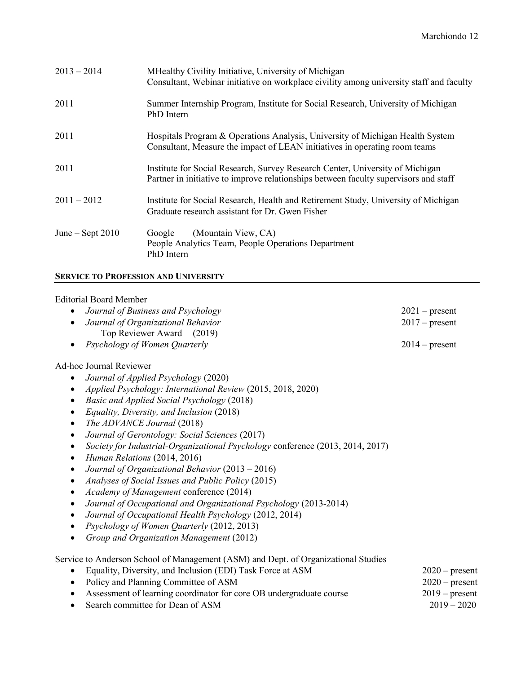| $2013 - 2014$      | MHealthy Civility Initiative, University of Michigan<br>Consultant, Webinar initiative on workplace civility among university staff and faculty                       |
|--------------------|-----------------------------------------------------------------------------------------------------------------------------------------------------------------------|
| 2011               | Summer Internship Program, Institute for Social Research, University of Michigan<br>PhD Intern                                                                        |
| 2011               | Hospitals Program & Operations Analysis, University of Michigan Health System<br>Consultant, Measure the impact of LEAN initiatives in operating room teams           |
| 2011               | Institute for Social Research, Survey Research Center, University of Michigan<br>Partner in initiative to improve relationships between faculty supervisors and staff |
| $2011 - 2012$      | Institute for Social Research, Health and Retirement Study, University of Michigan<br>Graduate research assistant for Dr. Gwen Fisher                                 |
| June – Sept $2010$ | (Mountain View, CA)<br>Google<br>People Analytics Team, People Operations Department<br>PhD Intern                                                                    |

# SERVICE TO PROFESSION AND UNIVERSITY

## Editorial Board Member

| Journal of Business and Psychology                                                          | $2021$ – present |
|---------------------------------------------------------------------------------------------|------------------|
| Journal of Organizational Behavior                                                          | $2017$ – present |
| Top Reviewer Award (2019)                                                                   |                  |
| Psychology of Women Quarterly                                                               | $2014$ – present |
| <b>Ad-hoc Journal Reviewer</b>                                                              |                  |
| Journal of Applied Psychology (2020)                                                        |                  |
| Applied Psychology: International Review (2015, 2018, 2020)                                 |                  |
| Basic and Applied Social Psychology (2018)                                                  |                  |
| Equality, Diversity, and Inclusion (2018)<br>٠                                              |                  |
| The ADVANCE Journal (2018)                                                                  |                  |
| Journal of Gerontology: Social Sciences (2017)<br>٠                                         |                  |
| Society for Industrial-Organizational Psychology conference (2013, 2014, 2017)<br>$\bullet$ |                  |
| Human Relations (2014, 2016)<br>$\bullet$                                                   |                  |
| Journal of Organizational Behavior (2013 - 2016)                                            |                  |
| Analyses of Social Issues and Public Policy (2015)                                          |                  |
| Academy of Management conference (2014)                                                     |                  |
| Journal of Occupational and Organizational Psychology (2013-2014)<br>٠                      |                  |
| Journal of Occupational Health Psychology (2012, 2014)                                      |                  |
| Psychology of Women Quarterly (2012, 2013)                                                  |                  |
| Group and Organization Management (2012)<br>٠                                               |                  |
| Service to Anderson School of Management (ASM) and Dept. of Organizational Studies          |                  |
| Equality, Diversity, and Inclusion (EDI) Task Force at ASM                                  | $2020$ – present |
| Policy and Planning Committee of ASM                                                        | $2020$ – present |
| Assessment of learning coordinator for core OB undergraduate course                         | $2019$ – present |
| Search committee for Dean of ASM<br>٠                                                       | $2019 - 2020$    |
|                                                                                             |                  |